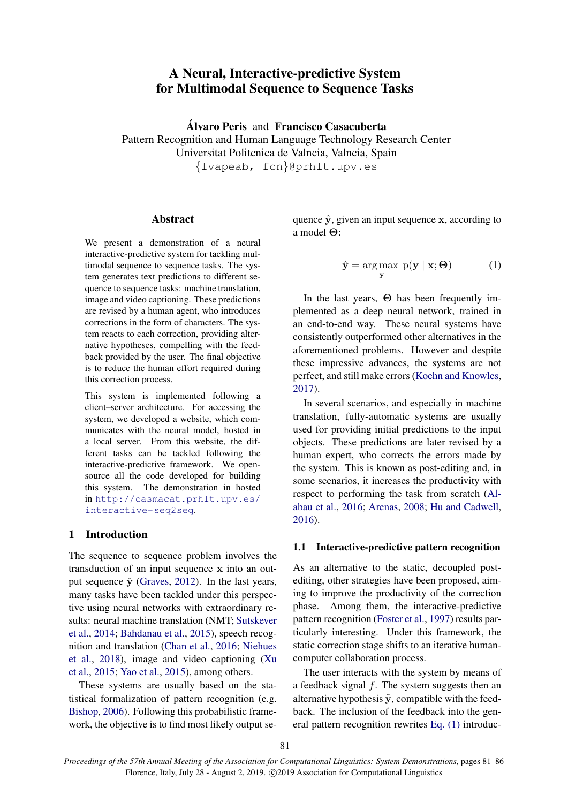# A Neural, Interactive-predictive System for Multimodal Sequence to Sequence Tasks

**Álvaro Peris and Francisco Casacuberta** Pattern Recognition and Human Language Technology Research Center Universitat Politcnica de Valncia, Valncia, Spain *{*lvapeab, fcn*}*@prhlt.upv.es

### Abstract

We present a demonstration of a neural interactive-predictive system for tackling multimodal sequence to sequence tasks. The system generates text predictions to different sequence to sequence tasks: machine translation, image and video captioning. These predictions are revised by a human agent, who introduces corrections in the form of characters. The system reacts to each correction, providing alternative hypotheses, compelling with the feedback provided by the user. The final objective is to reduce the human effort required during this correction process.

This system is implemented following a client–server architecture. For accessing the system, we developed a website, which communicates with the neural model, hosted in a local server. From this website, the different tasks can be tackled following the interactive-predictive framework. We opensource all the code developed for building this system. The demonstration in hosted in [http://casmacat.prhlt.upv.es/](http://casmacat.prhlt.upv.es/interactive-seq2seq) [interactive-seq2seq](http://casmacat.prhlt.upv.es/interactive-seq2seq).

### 1 Introduction

The sequence to sequence problem involves the transduction of an input sequence **x** into an output sequence  $\hat{y}$  ([Graves](#page-4-0), [2012](#page-4-0)). In the last years, many tasks have been tackled under this perspective using neural networks with extraordinary results: neural machine translation (NMT; [Sutskever](#page-5-0) [et al.](#page-5-0), [2014](#page-5-0); [Bahdanau et al.,](#page-4-1) [2015\)](#page-4-1), speech recognition and translation ([Chan et al.,](#page-4-2) [2016](#page-4-2); [Niehues](#page-5-1) [et al.,](#page-5-1) [2018](#page-5-1)), image and video captioning ([Xu](#page-5-2) [et al.](#page-5-2), [2015](#page-5-2); [Yao et al.](#page-5-3), [2015\)](#page-5-3), among others.

These systems are usually based on the statistical formalization of pattern recognition (e.g. [Bishop,](#page-4-3) [2006\)](#page-4-3). Following this probabilistic framework, the objective is to find most likely output se<span id="page-0-0"></span>quence  $\hat{y}$ , given an input sequence **x**, according to a model **Θ**:

$$
\hat{\mathbf{y}} = \underset{\mathbf{y}}{\arg \max} \ \mathrm{p}(\mathbf{y} \mid \mathbf{x}; \boldsymbol{\Theta}) \tag{1}
$$

In the last years, **Θ** has been frequently implemented as a deep neural network, trained in an end-to-end way. These neural systems have consistently outperformed other alternatives in the aforementioned problems. However and despite these impressive advances, the systems are not perfect, and still make errors ([Koehn and Knowles,](#page-5-4) [2017](#page-5-4)).

In several scenarios, and especially in machine translation, fully-automatic systems are usually used for providing initial predictions to the input objects. These predictions are later revised by a human expert, who corrects the errors made by the system. This is known as post-editing and, in some scenarios, it increases the productivity with respect to performing the task from scratch ([Al](#page-4-4)[abau et al.,](#page-4-4) [2016](#page-4-4); [Arenas](#page-4-5), [2008;](#page-4-5) [Hu and Cadwell,](#page-5-5) [2016](#page-5-5)).

#### 1.1 Interactive-predictive pattern recognition

As an alternative to the static, decoupled postediting, other strategies have been proposed, aiming to improve the productivity of the correction phase. Among them, the interactive-predictive pattern recognition [\(Foster et al.](#page-4-6), [1997\)](#page-4-6) results particularly interesting. Under this framework, the static correction stage shifts to an iterative humancomputer collaboration process.

The user interacts with the system by means of a feedback signal *f*. The system suggests then an alternative hypothesis  $\tilde{y}$ , compatible with the feedback. The inclusion of the feedback into the general pattern recognition rewrites [Eq. \(1\)](#page-0-0) introduc-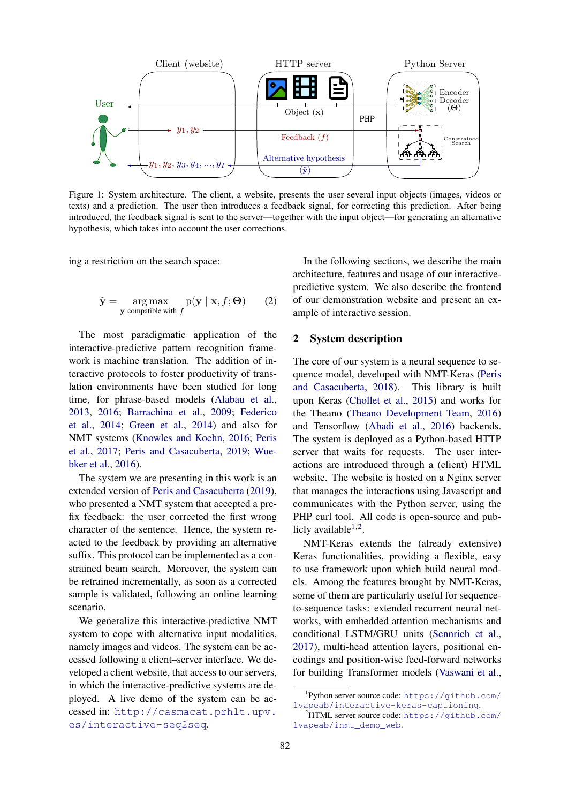<span id="page-1-3"></span>

Figure 1: System architecture. The client, a website, presents the user several input objects (images, videos or texts) and a prediction. The user then introduces a feedback signal, for correcting this prediction. After being introduced, the feedback signal is sent to the server—together with the input object—for generating an alternative hypothesis, which takes into account the user corrections.

<span id="page-1-2"></span>ing a restriction on the search space:

$$
\tilde{\mathbf{y}} = \underset{\mathbf{y} \text{ compatible with } f}{\arg \max} p(\mathbf{y} \mid \mathbf{x}, f; \Theta) \qquad (2)
$$

The most paradigmatic application of the interactive-predictive pattern recognition framework is machine translation. The addition of interactive protocols to foster productivity of translation environments have been studied for long time, for phrase-based models ([Alabau et al.,](#page-4-7) [2013,](#page-4-7) [2016](#page-4-4); [Barrachina et al.](#page-4-8), [2009;](#page-4-8) [Federico](#page-4-9) [et al.](#page-4-9), [2014;](#page-4-9) [Green et al.,](#page-5-6) [2014\)](#page-5-6) and also for NMT systems [\(Knowles and Koehn](#page-5-7), [2016;](#page-5-7) [Peris](#page-5-8) [et al.,](#page-5-8) [2017;](#page-5-8) [Peris and Casacuberta](#page-5-9), [2019](#page-5-9); [Wue](#page-5-10)[bker et al.](#page-5-10), [2016](#page-5-10)).

The system we are presenting in this work is an extended version of [Peris and Casacuberta](#page-5-9) [\(2019\)](#page-5-9), who presented a NMT system that accepted a prefix feedback: the user corrected the first wrong character of the sentence. Hence, the system reacted to the feedback by providing an alternative suffix. This protocol can be implemented as a constrained beam search. Moreover, the system can be retrained incrementally, as soon as a corrected sample is validated, following an online learning scenario.

We generalize this interactive-predictive NMT system to cope with alternative input modalities, namely images and videos. The system can be accessed following a client–server interface. We developed a client website, that access to our servers, in which the interactive-predictive systems are deployed. A live demo of the system can be accessed in: [http://casmacat.prhlt.upv.](http://casmacat.prhlt.upv.es/interactive-seq2seq) [es/interactive-seq2seq](http://casmacat.prhlt.upv.es/interactive-seq2seq).

In the following sections, we describe the main architecture, features and usage of our interactivepredictive system. We also describe the frontend of our demonstration website and present an example of interactive session.

## 2 System description

The core of our system is a neural sequence to sequence model, developed with NMT-Keras ([Peris](#page-5-11) [and Casacuberta](#page-5-11), [2018\)](#page-5-11). This library is built upon Keras [\(Chollet et al.](#page-4-10), [2015](#page-4-10)) and works for the Theano [\(Theano Development Team](#page-5-12), [2016\)](#page-5-12) and Tensorflow ([Abadi et al.,](#page-4-11) [2016](#page-4-11)) backends. The system is deployed as a Python-based HTTP server that waits for requests. The user interactions are introduced through a (client) HTML website. The website is hosted on a Nginx server that manages the interactions using Javascript and communicates with the Python server, using the PHP curl tool. All code is open-source and publicly available $1,2$  $1,2$  $1,2$ .

NMT-Keras extends the (already extensive) Keras functionalities, providing a flexible, easy to use framework upon which build neural models. Among the features brought by NMT-Keras, some of them are particularly useful for sequenceto-sequence tasks: extended recurrent neural networks, with embedded attention mechanisms and conditional LSTM/GRU units ([Sennrich et al.,](#page-5-13) [2017](#page-5-13)), multi-head attention layers, positional encodings and position-wise feed-forward networks for building Transformer models [\(Vaswani et al.,](#page-5-14)

<span id="page-1-0"></span><sup>1</sup> Python server source code: [https://github.com/](https://github.com/lvapeab/interactive-keras-captioning) [lvapeab/interactive-keras-captioning](https://github.com/lvapeab/interactive-keras-captioning).

<span id="page-1-1"></span> $2$ HTML server source code: [https://github.com/](https://github.com/lvapeab/inmt_demo_web) [lvapeab/inmt\\_demo\\_web](https://github.com/lvapeab/inmt_demo_web).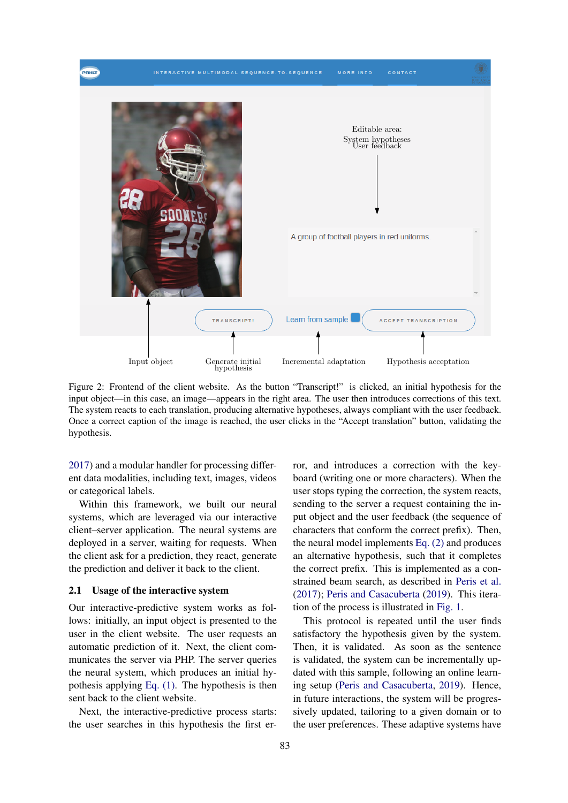<span id="page-2-0"></span>

Figure 2: Frontend of the client website. As the button "Transcript!" is clicked, an initial hypothesis for the input object—in this case, an image—appears in the right area. The user then introduces corrections of this text. The system reacts to each translation, producing alternative hypotheses, always compliant with the user feedback. Once a correct caption of the image is reached, the user clicks in the "Accept translation" button, validating the hypothesis.

[2017\)](#page-5-14) and a modular handler for processing different data modalities, including text, images, videos or categorical labels.

Within this framework, we built our neural systems, which are leveraged via our interactive client–server application. The neural systems are deployed in a server, waiting for requests. When the client ask for a prediction, they react, generate the prediction and deliver it back to the client.

#### 2.1 Usage of the interactive system

Our interactive-predictive system works as follows: initially, an input object is presented to the user in the client website. The user requests an automatic prediction of it. Next, the client communicates the server via PHP. The server queries the neural system, which produces an initial hypothesis applying [Eq. \(1\)](#page-0-0). The hypothesis is then sent back to the client website.

Next, the interactive-predictive process starts: the user searches in this hypothesis the first error, and introduces a correction with the keyboard (writing one or more characters). When the user stops typing the correction, the system reacts, sending to the server a request containing the input object and the user feedback (the sequence of characters that conform the correct prefix). Then, the neural model implements [Eq. \(2\)](#page-1-2) and produces an alternative hypothesis, such that it completes the correct prefix. This is implemented as a constrained beam search, as described in [Peris et al.](#page-5-8) ([2017\)](#page-5-8); [Peris and Casacuberta](#page-5-9) ([2019\)](#page-5-9). This iteration of the process is illustrated in [Fig. 1](#page-1-3).

This protocol is repeated until the user finds satisfactory the hypothesis given by the system. Then, it is validated. As soon as the sentence is validated, the system can be incrementally updated with this sample, following an online learning setup [\(Peris and Casacuberta,](#page-5-9) [2019](#page-5-9)). Hence, in future interactions, the system will be progressively updated, tailoring to a given domain or to the user preferences. These adaptive systems have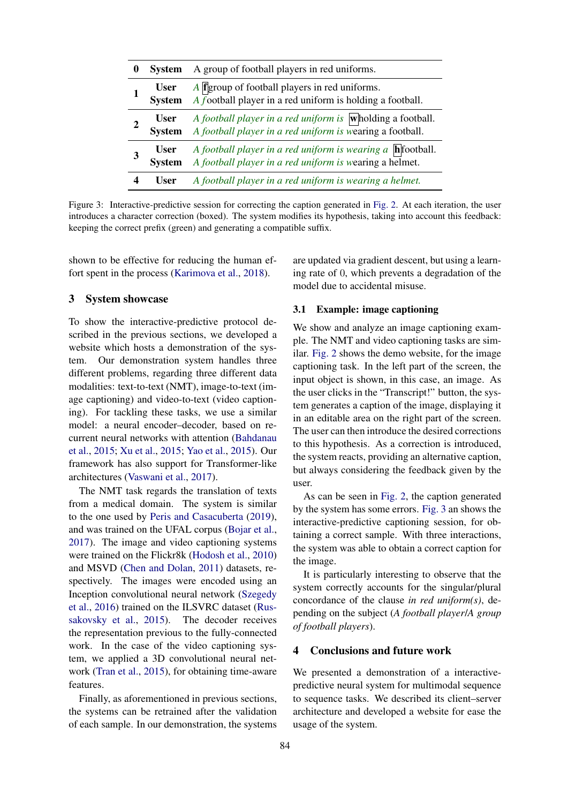<span id="page-3-0"></span>

| 0 | <b>System</b>                | A group of football players in red uniforms.                                                                                                   |
|---|------------------------------|------------------------------------------------------------------------------------------------------------------------------------------------|
|   | <b>User</b><br><b>System</b> | $A$ <b>f</b> group of football players in red uniforms.<br>A football player in a red uniform is holding a football.                           |
|   | <b>User</b><br><b>System</b> | A football player in a red uniform is $\overline{\textbf{w}}$ holding a football.<br>A football player in a red uniform is wearing a football. |
|   | <b>User</b><br><b>System</b> | A football player in a red uniform is wearing a $\ln$ football.<br>A football player in a red uniform is wearing a helmet.                     |
|   | User                         | A football player in a red uniform is wearing a helmet.                                                                                        |

Figure 3: Interactive-predictive session for correcting the caption generated in [Fig. 2.](#page-2-0) At each iteration, the user introduces a character correction (boxed). The system modifies its hypothesis, taking into account this feedback: keeping the correct prefix (green) and generating a compatible suffix.

shown to be effective for reducing the human effort spent in the process ([Karimova et al.,](#page-5-15) [2018\)](#page-5-15).

#### 3 System showcase

To show the interactive-predictive protocol described in the previous sections, we developed a website which hosts a demonstration of the system. Our demonstration system handles three different problems, regarding three different data modalities: text-to-text (NMT), image-to-text (image captioning) and video-to-text (video captioning). For tackling these tasks, we use a similar model: a neural encoder–decoder, based on recurrent neural networks with attention ([Bahdanau](#page-4-1) [et al.](#page-4-1), [2015](#page-4-1); [Xu et al.,](#page-5-2) [2015](#page-5-2); [Yao et al.](#page-5-3), [2015\)](#page-5-3). Our framework has also support for Transformer-like architectures [\(Vaswani et al.,](#page-5-14) [2017](#page-5-14)).

The NMT task regards the translation of texts from a medical domain. The system is similar to the one used by [Peris and Casacuberta](#page-5-9) [\(2019\)](#page-5-9), and was trained on the UFAL corpus [\(Bojar et al.,](#page-4-12) [2017\)](#page-4-12). The image and video captioning systems were trained on the Flickr8k ([Hodosh et al.](#page-5-16), [2010\)](#page-5-16) and MSVD ([Chen and Dolan](#page-4-13), [2011](#page-4-13)) datasets, respectively. The images were encoded using an Inception convolutional neural network [\(Szegedy](#page-5-17) [et al.](#page-5-17), [2016\)](#page-5-17) trained on the ILSVRC dataset ([Rus](#page-5-18)[sakovsky et al.](#page-5-18), [2015\)](#page-5-18). The decoder receives the representation previous to the fully-connected work. In the case of the video captioning system, we applied a 3D convolutional neural network ([Tran et al.](#page-5-19), [2015\)](#page-5-19), for obtaining time-aware features.

Finally, as aforementioned in previous sections, the systems can be retrained after the validation of each sample. In our demonstration, the systems

are updated via gradient descent, but using a learning rate of 0, which prevents a degradation of the model due to accidental misuse.

#### 3.1 Example: image captioning

We show and analyze an image captioning example. The NMT and video captioning tasks are similar. [Fig. 2](#page-2-0) shows the demo website, for the image captioning task. In the left part of the screen, the input object is shown, in this case, an image. As the user clicks in the "Transcript!" button, the system generates a caption of the image, displaying it in an editable area on the right part of the screen. The user can then introduce the desired corrections to this hypothesis. As a correction is introduced, the system reacts, providing an alternative caption, but always considering the feedback given by the user.

As can be seen in [Fig. 2](#page-2-0), the caption generated by the system has some errors. [Fig. 3](#page-3-0) an shows the interactive-predictive captioning session, for obtaining a correct sample. With three interactions, the system was able to obtain a correct caption for the image.

It is particularly interesting to observe that the system correctly accounts for the singular/plural concordance of the clause *in red uniform(s)*, depending on the subject (*A football player*/*A group of football players*).

#### 4 Conclusions and future work

We presented a demonstration of a interactivepredictive neural system for multimodal sequence to sequence tasks. We described its client–server architecture and developed a website for ease the usage of the system.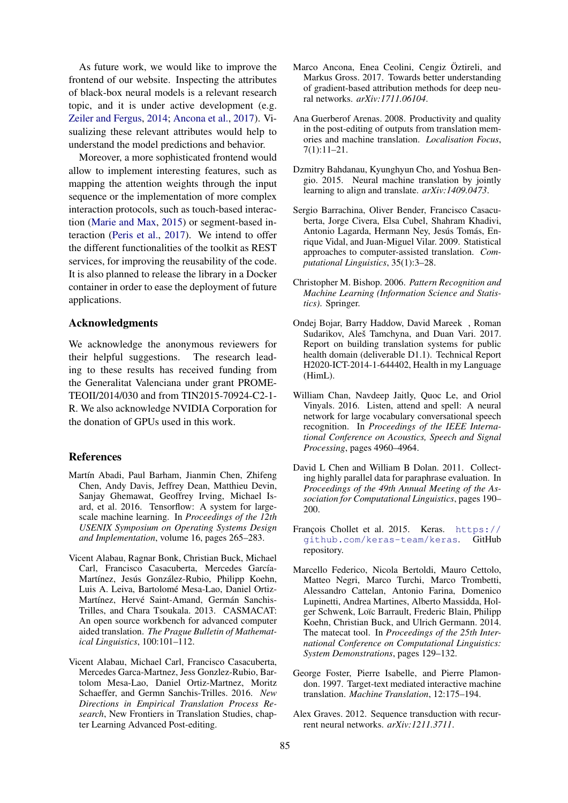As future work, we would like to improve the frontend of our website. Inspecting the attributes of black-box neural models is a relevant research topic, and it is under active development (e.g. [Zeiler and Fergus,](#page-5-20) [2014;](#page-5-20) [Ancona et al.](#page-4-14), [2017\)](#page-4-14). Visualizing these relevant attributes would help to understand the model predictions and behavior.

Moreover, a more sophisticated frontend would allow to implement interesting features, such as mapping the attention weights through the input sequence or the implementation of more complex interaction protocols, such as touch-based interaction ([Marie and Max,](#page-5-21) [2015](#page-5-21)) or segment-based interaction ([Peris et al.,](#page-5-8) [2017](#page-5-8)). We intend to offer the different functionalities of the toolkit as REST services, for improving the reusability of the code. It is also planned to release the library in a Docker container in order to ease the deployment of future applications.

### Acknowledgments

We acknowledge the anonymous reviewers for their helpful suggestions. The research leading to these results has received funding from the Generalitat Valenciana under grant PROME-TEOII/2014/030 and from TIN2015-70924-C2-1- R. We also acknowledge NVIDIA Corporation for the donation of GPUs used in this work.

#### **References**

- <span id="page-4-11"></span>Martín Abadi, Paul Barham, Jianmin Chen, Zhifeng Chen, Andy Davis, Jeffrey Dean, Matthieu Devin, Sanjay Ghemawat, Geoffrey Irving, Michael Isard, et al. 2016. Tensorflow: A system for largescale machine learning. In *Proceedings of the 12th USENIX Symposium on Operating Systems Design and Implementation*, volume 16, pages 265–283.
- <span id="page-4-7"></span>Vicent Alabau, Ragnar Bonk, Christian Buck, Michael Carl, Francisco Casacuberta, Mercedes García-Martínez, Jesús González-Rubio, Philipp Koehn, Luis A. Leiva, Bartolomé Mesa-Lao, Daniel Ortiz-Martínez, Hervé Saint-Amand, Germán Sanchis-Trilles, and Chara Tsoukala. 2013. CASMACAT: An open source workbench for advanced computer aided translation. *The Prague Bulletin of Mathematical Linguistics*, 100:101–112.
- <span id="page-4-4"></span>Vicent Alabau, Michael Carl, Francisco Casacuberta, Mercedes Garca-Martnez, Jess Gonzlez-Rubio, Bartolom Mesa-Lao, Daniel Ortiz-Martnez, Moritz Schaeffer, and Germn Sanchis-Trilles. 2016. *New Directions in Empirical Translation Process Research*, New Frontiers in Translation Studies, chapter Learning Advanced Post-editing.
- <span id="page-4-14"></span>Marco Ancona, Enea Ceolini, Cengiz Öztireli, and Markus Gross. 2017. Towards better understanding of gradient-based attribution methods for deep neural networks. *arXiv:1711.06104*.
- <span id="page-4-5"></span>Ana Guerberof Arenas. 2008. Productivity and quality in the post-editing of outputs from translation memories and machine translation. *Localisation Focus*, 7(1):11–21.
- <span id="page-4-1"></span>Dzmitry Bahdanau, Kyunghyun Cho, and Yoshua Bengio. 2015. Neural machine translation by jointly learning to align and translate. *arXiv:1409.0473*.
- <span id="page-4-8"></span>Sergio Barrachina, Oliver Bender, Francisco Casacuberta, Jorge Civera, Elsa Cubel, Shahram Khadivi, Antonio Lagarda, Hermann Ney, Jesús Tomás, Enrique Vidal, and Juan-Miguel Vilar. 2009. Statistical approaches to computer-assisted translation. *Computational Linguistics*, 35(1):3–28.
- <span id="page-4-3"></span>Christopher M. Bishop. 2006. *Pattern Recognition and Machine Learning (Information Science and Statistics)*. Springer.
- <span id="page-4-12"></span>Ondej Bojar, Barry Haddow, David Mareek , Roman Sudarikov, Aleš Tamchyna, and Duan Vari. 2017. Report on building translation systems for public health domain (deliverable D1.1). Technical Report H2020-ICT-2014-1-644402, Health in my Language (HimL).
- <span id="page-4-2"></span>William Chan, Navdeep Jaitly, Quoc Le, and Oriol Vinyals. 2016. Listen, attend and spell: A neural network for large vocabulary conversational speech recognition. In *Proceedings of the IEEE International Conference on Acoustics, Speech and Signal Processing*, pages 4960–4964.
- <span id="page-4-13"></span>David L Chen and William B Dolan. 2011. Collecting highly parallel data for paraphrase evaluation. In *Proceedings of the 49th Annual Meeting of the Association for Computational Linguistics*, pages 190– 200.
- <span id="page-4-10"></span>François Chollet et al. 2015. Keras. [https://](https://github.com/keras-team/keras) [github.com/keras-team/keras](https://github.com/keras-team/keras). GitHub repository.
- <span id="page-4-9"></span>Marcello Federico, Nicola Bertoldi, Mauro Cettolo, Matteo Negri, Marco Turchi, Marco Trombetti, Alessandro Cattelan, Antonio Farina, Domenico Lupinetti, Andrea Martines, Alberto Massidda, Holger Schwenk, Loïc Barrault, Frederic Blain, Philipp Koehn, Christian Buck, and Ulrich Germann. 2014. The matecat tool. In *Proceedings of the 25th International Conference on Computational Linguistics: System Demonstrations*, pages 129–132.
- <span id="page-4-6"></span>George Foster, Pierre Isabelle, and Pierre Plamondon. 1997. Target-text mediated interactive machine translation. *Machine Translation*, 12:175–194.
- <span id="page-4-0"></span>Alex Graves. 2012. Sequence transduction with recurrent neural networks. *arXiv:1211.3711*.